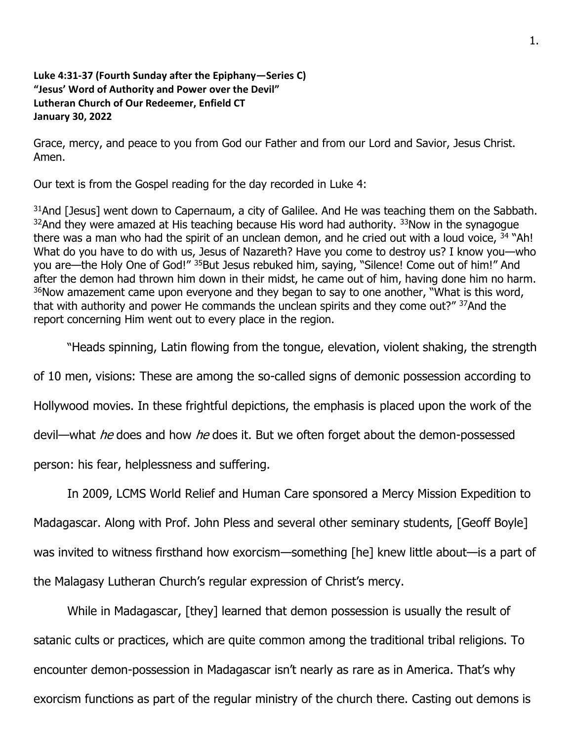## **Luke 4:31-37 (Fourth Sunday after the Epiphany—Series C) "Jesus' Word of Authority and Power over the Devil" Lutheran Church of Our Redeemer, Enfield CT January 30, 2022**

Grace, mercy, and peace to you from God our Father and from our Lord and Savior, Jesus Christ. Amen.

Our text is from the Gospel reading for the day recorded in Luke 4:

 $31$ And [Jesus] went down to Capernaum, a city of Galilee. And He was teaching them on the Sabbath.  $32$ And they were amazed at His teaching because His word had authority.  $33$ Now in the synagogue there was a man who had the spirit of an unclean demon, and he cried out with a loud voice,  $34$  "Ah! What do you have to do with us, Jesus of Nazareth? Have you come to destroy us? I know you—who you are—the Holy One of God!" <sup>35</sup>But Jesus rebuked him, saying, "Silence! Come out of him!" And after the demon had thrown him down in their midst, he came out of him, having done him no harm.  $36$ Now amazement came upon everyone and they began to say to one another, "What is this word, that with authority and power He commands the unclean spirits and they come out?" 37And the report concerning Him went out to every place in the region.

"Heads spinning, Latin flowing from the tongue, elevation, violent shaking, the strength

of 10 men, visions: These are among the so-called signs of demonic possession according to

Hollywood movies. In these frightful depictions, the emphasis is placed upon the work of the

devil—what *he* does and how *he* does it. But we often forget about the demon-possessed

person: his fear, helplessness and suffering.

In 2009, LCMS World Relief and Human Care sponsored a Mercy Mission Expedition to Madagascar. Along with Prof. John Pless and several other seminary students, [Geoff Boyle] was invited to witness firsthand how exorcism—something [he] knew little about—is a part of the Malagasy Lutheran Church's regular expression of Christ's mercy.

While in Madagascar, [they] learned that demon possession is usually the result of satanic cults or practices, which are quite common among the traditional tribal religions. To encounter demon-possession in Madagascar isn't nearly as rare as in America. That's why exorcism functions as part of the regular ministry of the church there. Casting out demons is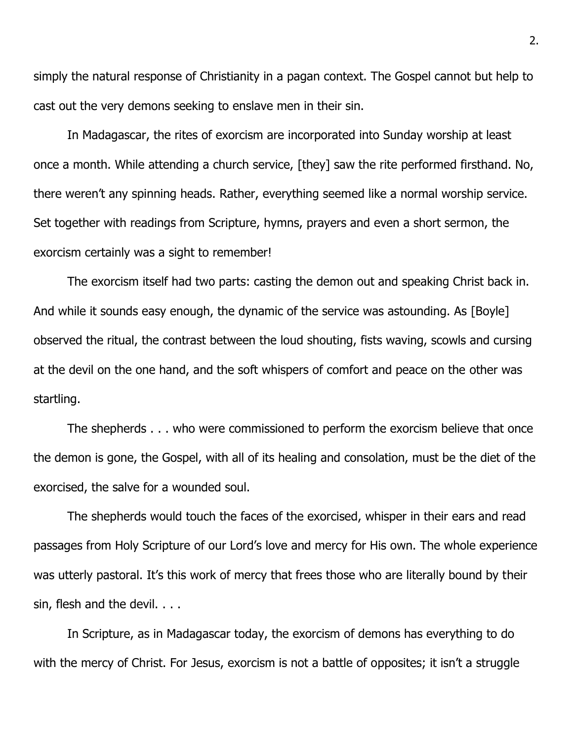simply the natural response of Christianity in a pagan context. The Gospel cannot but help to cast out the very demons seeking to enslave men in their sin.

In Madagascar, the rites of exorcism are incorporated into Sunday worship at least once a month. While attending a church service, [they] saw the rite performed firsthand. No, there weren't any spinning heads. Rather, everything seemed like a normal worship service. Set together with readings from Scripture, hymns, prayers and even a short sermon, the exorcism certainly was a sight to remember!

The exorcism itself had two parts: casting the demon out and speaking Christ back in. And while it sounds easy enough, the dynamic of the service was astounding. As [Boyle] observed the ritual, the contrast between the loud shouting, fists waving, scowls and cursing at the devil on the one hand, and the soft whispers of comfort and peace on the other was startling.

The shepherds . . . who were commissioned to perform the exorcism believe that once the demon is gone, the Gospel, with all of its healing and consolation, must be the diet of the exorcised, the salve for a wounded soul.

The shepherds would touch the faces of the exorcised, whisper in their ears and read passages from Holy Scripture of our Lord's love and mercy for His own. The whole experience was utterly pastoral. It's this work of mercy that frees those who are literally bound by their sin, flesh and the devil. . . .

In Scripture, as in Madagascar today, the exorcism of demons has everything to do with the mercy of Christ. For Jesus, exorcism is not a battle of opposites; it isn't a struggle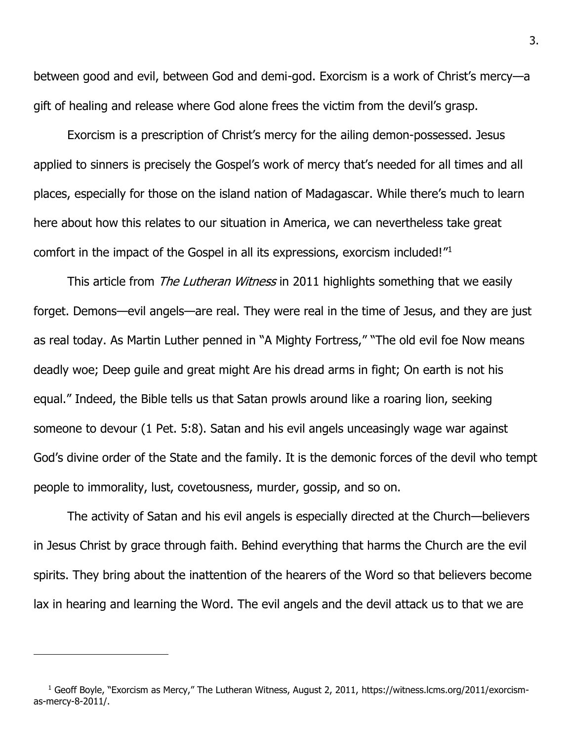between good and evil, between God and demi-god. Exorcism is a work of Christ's mercy—a gift of healing and release where God alone frees the victim from the devil's grasp.

Exorcism is a prescription of Christ's mercy for the ailing demon-possessed. Jesus applied to sinners is precisely the Gospel's work of mercy that's needed for all times and all places, especially for those on the island nation of Madagascar. While there's much to learn here about how this relates to our situation in America, we can nevertheless take great comfort in the impact of the Gospel in all its expressions, exorcism included!"<sup>1</sup>

This article from *The Lutheran Witness* in 2011 highlights something that we easily forget. Demons—evil angels—are real. They were real in the time of Jesus, and they are just as real today. As Martin Luther penned in "A Mighty Fortress," "The old evil foe Now means deadly woe; Deep guile and great might Are his dread arms in fight; On earth is not his equal." Indeed, the Bible tells us that Satan prowls around like a roaring lion, seeking someone to devour (1 Pet. 5:8). Satan and his evil angels unceasingly wage war against God's divine order of the State and the family. It is the demonic forces of the devil who tempt people to immorality, lust, covetousness, murder, gossip, and so on.

The activity of Satan and his evil angels is especially directed at the Church—believers in Jesus Christ by grace through faith. Behind everything that harms the Church are the evil spirits. They bring about the inattention of the hearers of the Word so that believers become lax in hearing and learning the Word. The evil angels and the devil attack us to that we are

<sup>&</sup>lt;sup>1</sup> Geoff Boyle, "Exorcism as Mercy," The Lutheran Witness, August 2, 2011, https://witness.lcms.org/2011/exorcismas-mercy-8-2011/.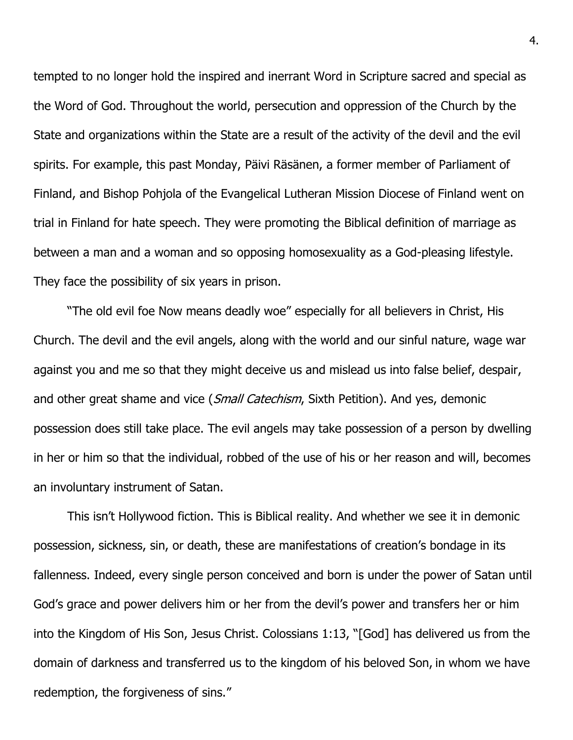tempted to no longer hold the inspired and inerrant Word in Scripture sacred and special as the Word of God. Throughout the world, persecution and oppression of the Church by the State and organizations within the State are a result of the activity of the devil and the evil spirits. For example, this past Monday, Päivi Räsänen, a former member of Parliament of Finland, and Bishop Pohjola of the Evangelical Lutheran Mission Diocese of Finland went on trial in Finland for hate speech. They were promoting the Biblical definition of marriage as between a man and a woman and so opposing homosexuality as a God-pleasing lifestyle. They face the possibility of six years in prison.

"The old evil foe Now means deadly woe" especially for all believers in Christ, His Church. The devil and the evil angels, along with the world and our sinful nature, wage war against you and me so that they might deceive us and mislead us into false belief, despair, and other great shame and vice (Small Catechism, Sixth Petition). And yes, demonic possession does still take place. The evil angels may take possession of a person by dwelling in her or him so that the individual, robbed of the use of his or her reason and will, becomes an involuntary instrument of Satan.

This isn't Hollywood fiction. This is Biblical reality. And whether we see it in demonic possession, sickness, sin, or death, these are manifestations of creation's bondage in its fallenness. Indeed, every single person conceived and born is under the power of Satan until God's grace and power delivers him or her from the devil's power and transfers her or him into the Kingdom of His Son, Jesus Christ. Colossians 1:13, "[God] has delivered us from the domain of darkness and transferred us to the kingdom of his beloved Son, in whom we have redemption, the forgiveness of sins."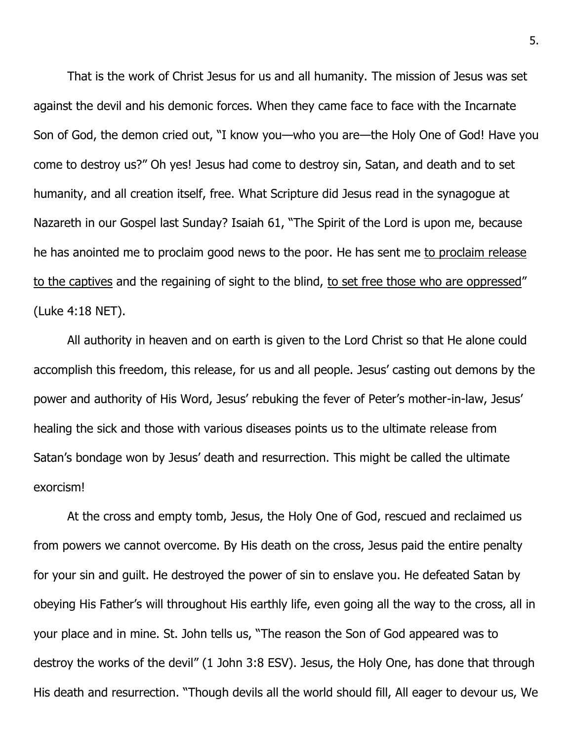That is the work of Christ Jesus for us and all humanity. The mission of Jesus was set against the devil and his demonic forces. When they came face to face with the Incarnate Son of God, the demon cried out, "I know you—who you are—the Holy One of God! Have you come to destroy us?" Oh yes! Jesus had come to destroy sin, Satan, and death and to set humanity, and all creation itself, free. What Scripture did Jesus read in the synagogue at Nazareth in our Gospel last Sunday? Isaiah 61, "The Spirit of the Lord is upon me, because he has anointed me to proclaim good news to the poor. He has sent me to proclaim release to the captives and the regaining of sight to the blind, to set free those who are oppressed" (Luke 4:18 NET).

All authority in heaven and on earth is given to the Lord Christ so that He alone could accomplish this freedom, this release, for us and all people. Jesus' casting out demons by the power and authority of His Word, Jesus' rebuking the fever of Peter's mother-in-law, Jesus' healing the sick and those with various diseases points us to the ultimate release from Satan's bondage won by Jesus' death and resurrection. This might be called the ultimate exorcism!

At the cross and empty tomb, Jesus, the Holy One of God, rescued and reclaimed us from powers we cannot overcome. By His death on the cross, Jesus paid the entire penalty for your sin and guilt. He destroyed the power of sin to enslave you. He defeated Satan by obeying His Father's will throughout His earthly life, even going all the way to the cross, all in your place and in mine. St. John tells us, "The reason the Son of God appeared was to destroy the works of the devil" (1 John 3:8 ESV). Jesus, the Holy One, has done that through His death and resurrection. "Though devils all the world should fill, All eager to devour us, We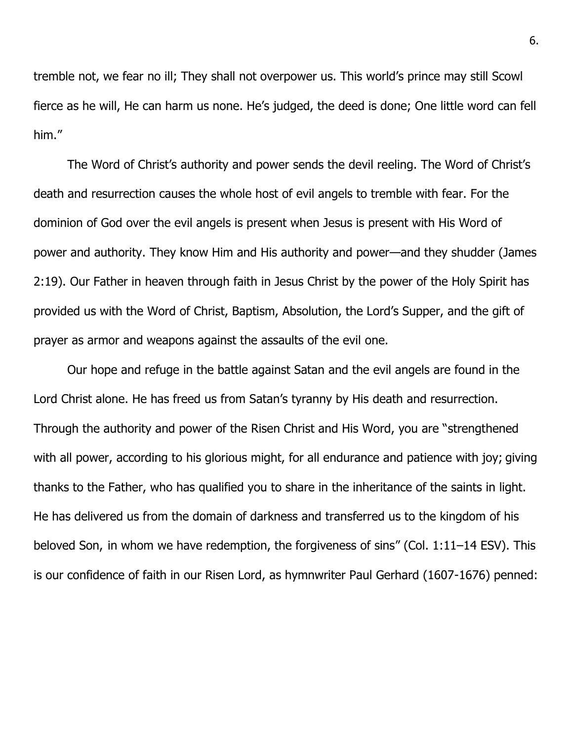tremble not, we fear no ill; They shall not overpower us. This world's prince may still Scowl fierce as he will, He can harm us none. He's judged, the deed is done; One little word can fell him."

The Word of Christ's authority and power sends the devil reeling. The Word of Christ's death and resurrection causes the whole host of evil angels to tremble with fear. For the dominion of God over the evil angels is present when Jesus is present with His Word of power and authority. They know Him and His authority and power—and they shudder (James 2:19). Our Father in heaven through faith in Jesus Christ by the power of the Holy Spirit has provided us with the Word of Christ, Baptism, Absolution, the Lord's Supper, and the gift of prayer as armor and weapons against the assaults of the evil one.

Our hope and refuge in the battle against Satan and the evil angels are found in the Lord Christ alone. He has freed us from Satan's tyranny by His death and resurrection. Through the authority and power of the Risen Christ and His Word, you are "strengthened with all power, according to his glorious might, for all endurance and patience with joy; giving thanks to the Father, who has qualified you to share in the inheritance of the saints in light. He has delivered us from the domain of darkness and transferred us to the kingdom of his beloved Son,in whom we have redemption, the forgiveness of sins" (Col. 1:11–14 ESV). This is our confidence of faith in our Risen Lord, as hymnwriter Paul Gerhard (1607-1676) penned: